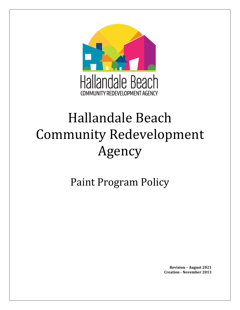

# Hallandale Beach Community Redevelopment Agency

Paint Program Policy

**Revision – August 2021 Creation - November 2013**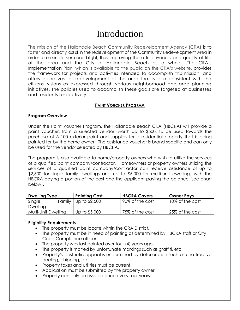## Introduction

The mission of the Hallandale Beach Community Redevelopment Agency (CRA) is to foster and directly assist in the redevelopment of the Community Redevelopment Area in order to eliminate slum and blight, thus improving the attractiveness and quality of life of the area and the City of Hallandale Beach as a whole. The CRA's Implementation Plan, which is available to the public on the CRA's website, provides the framework for projects and activities intended to accomplish this mission, and offers objectives for redevelopment of the area that is also consistent with the citizens' visions as expressed through various neighborhood and area planning initiatives. The policies used to accomplish these goals are targeted at businesses and residents respectively.

#### **PAINT VOUCHER PROGRAM**

#### **Program Overview**

Under the Paint Voucher Program, the Hallandale Beach CRA (HBCRA) will provide a paint voucher, from a selected vendor, worth up to \$500, to be used towards the purchase of A-100 exterior paint and supplies for a residential property that is being painted for by the home owner. The assistance voucher is brand specific and can only be used for the vendor selected by HBCRA.

The program is also available to home/property owners who wish to utilize the services of a qualified paint company/contractor. Homeowners or property owners utilizing the services of a qualified paint company/contractor can receive assistance of up to \$2,500 for single family dwellings and up to \$5,000 for multi-unit dwellings with the HBCRA paying a portion of the cost and the applicant paying the balance (see chart below).

| <b>Dwelling Type</b> | <b>Painting Cost</b>         | <b>HBCRA Covers</b> | <b>Owner Pays</b> |
|----------------------|------------------------------|---------------------|-------------------|
| Single               | Family $\vert$ Up to \$2,500 | 90% of the cost     | 10% of the cost   |
| <b>Dwelling</b>      |                              |                     |                   |
| Multi-Unit Dwelling  | Up to \$5,000                | 75% of the cost     | 25% of the cost   |

#### **Eligibility Requirements**

- The property must be locate within the CRA District.
- The property must be in need of painting as determined by HBCRA staff or City Code Compliance officer.
- The property was last painted over four (4) years ago.
- The property is marred by unfortunate markings such as graffiti, etc.
- Property's aesthetic appeal is undermined by deterioration such as unattractive peeling, chipping, etc.
- Property taxes and utilities must be current.
- Application must be submitted by the property owner.
- Property can only be assisted once every four years.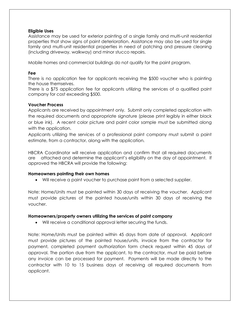#### **Eligible Uses**

Assistance may be used for exterior painting of a single family and multi-unit residential properties that show signs of paint deterioration. Assistance may also be used for single family and multi-unit residential properties in need of patching and pressure cleaning (including driveway, walkway) and minor stucco repairs.

Mobile homes and commercial buildings do not qualify for the paint program.

#### **Fee**

There is no application fee for applicants receiving the \$500 voucher who is painting the house themselves.

There is a \$75 application fee for applicants utilizing the services of a qualified paint company for cost exceeding \$500.

#### **Voucher Process**

Applicants are received by appointment only. Submit only completed application with the required documents and appropriate signature (please print legibly in either black or blue ink). A recent color picture and paint color sample must be submitted along with the application.

Applicants utilizing the services of a professional paint company must submit a paint estimate, from a contractor, along with the application.

HBCRA Coordinator will receive application and confirm that all required documents are attached and determine the applicant's eligibility on the day of appointment. If approved the HBCRA will provide the following:

#### **Homeowners painting their own homes**

• Will receive a paint voucher to purchase paint from a selected supplier.

Note: Home/Units must be painted within 30 days of receiving the voucher. Applicant must provide pictures of the painted house/units within 30 days of receiving the voucher.

#### **Homeowners/property owners utilizing the services of paint company**

• Will receive a conditional approval letter securing the funds.

Note: Home/Units must be painted within 45 days from date of approval. Applicant must provide pictures of the painted house/units, invoice from the contractor for payment, completed payment authorization form check request within 45 days of approval. The portion due from the applicant, to the contractor, must be paid before any invoice can be processed for payment. Payments will be made directly to the contractor with 10 to 15 business days of receiving all required documents from applicant.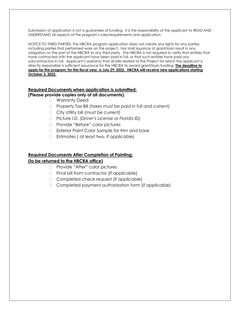Submission of application is not a guarantee of funding. It is the responsibility of the applicant to READ AND UNDERSTAND all aspects of the program's rules/requirements and application.

NOTICE TO THIRD PARTIES: The HBCRA program application does not create any rights for any parties, including parties that performed work on the project. Nor shall issuance of grant/loan result in any obligation on the part of the HBCRA to any third party. The HBCRA is not required to verify that entities that have contracted with the applicant have been paid in full, or that such entities have paid any subcontractors in full. Applicant's warranty that all bills related to the Project for which the applicant is directly responsible is sufficient assurance for the HBCRA to award grant/loan funding. **The deadline to apply for the program, for this fiscal year, is July 29, 2022. HBCRA will receive new applications starting October 3, 2022.**

#### **Required Documents when application is submitted:**

#### **(Please provide copies only of all documents).**

- □ Warranty Deed
- Property Tax Bill *(taxes must be paid in full and current)*
- □ City Utility bill (must be current)
- Picture I.D. *(Driver's License or Florida ID)*
- □ Provide "Before" color pictures
- □ Exterior Paint Color Sample for trim and base
- $\Box$  Estimates ( at least two, if applicable)

#### **Required Documents After Completion of Painting:**

#### **(to be returned to the HBCRA office)**

- □ Provide "After" color pictures
- $\Box$  Final bill from contractor (if applicable)
- □ Completed check request (if applicable)
- □ Completed payment authorization form (if applicable)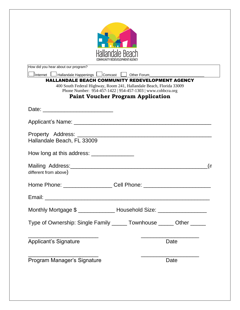| Hallandale Happenings Loomcast Loomber Forum<br><b>HALLANDALE BEACH COMMUNITY REDEVELOPMENT AGENCY</b><br>400 South Federal Highway, Room 241, Hallandale Beach, Florida 33009<br>Phone Number: 954-457-1422   954-457-1303   www.cohbcra.org<br><b>Paint Voucher Program Application</b> |
|-------------------------------------------------------------------------------------------------------------------------------------------------------------------------------------------------------------------------------------------------------------------------------------------|
|                                                                                                                                                                                                                                                                                           |
|                                                                                                                                                                                                                                                                                           |
|                                                                                                                                                                                                                                                                                           |
|                                                                                                                                                                                                                                                                                           |
|                                                                                                                                                                                                                                                                                           |
|                                                                                                                                                                                                                                                                                           |
|                                                                                                                                                                                                                                                                                           |
|                                                                                                                                                                                                                                                                                           |
|                                                                                                                                                                                                                                                                                           |
|                                                                                                                                                                                                                                                                                           |
| (if                                                                                                                                                                                                                                                                                       |
| Cell Phone: <u>___________________________</u>                                                                                                                                                                                                                                            |
|                                                                                                                                                                                                                                                                                           |
|                                                                                                                                                                                                                                                                                           |
| Monthly Mortgage \$ ________________ Household Size: ____________________________                                                                                                                                                                                                         |
| Type of Ownership: Single Family ______ Townhouse ______ Other _____                                                                                                                                                                                                                      |
|                                                                                                                                                                                                                                                                                           |
| Date                                                                                                                                                                                                                                                                                      |
|                                                                                                                                                                                                                                                                                           |
| Date                                                                                                                                                                                                                                                                                      |
|                                                                                                                                                                                                                                                                                           |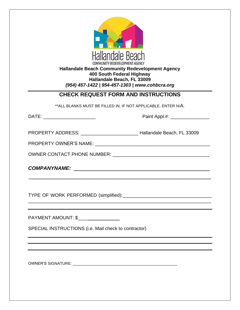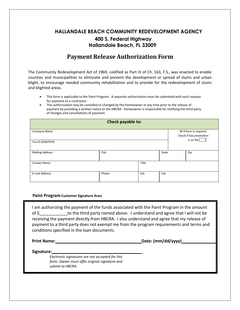### **HALLANDALE BEACH COMMUNITY REDEVELOPMENT AGENCY 400 S. Federal Highway Hallandale Beach, FL 33009**

### **Payment Release Authorization Form**

The Community Redevelopment Act of 1969, codified as Part III of Ch. 163, F.S., was enacted to enable counties and municipalities to eliminate and prevent the development or spread of slums and urban blight, to encourage needed community rehabilitation and to provide for the redevelopment of slums and blighted areas.

- This form is applicable to the Paint Program. A separate authorization must be submitted with each request for payment to a contractor.
- This authorization may be cancelled or changed by the homeowner at any time prior to the release of payment by providing a written notice to the HBCRA. Homeowner is responsible for notifying the third party of changes and cancellations of payment.

| Check payable to:      |       |       |     |  |                                                        |  |  |
|------------------------|-------|-------|-----|--|--------------------------------------------------------|--|--|
| Company Name           |       |       |     |  | W-9 form is required.<br><b>Check if Documentation</b> |  |  |
| Tax ID (SSN/FEIN)      |       |       |     |  | is on file                                             |  |  |
| <b>Mailing Address</b> | City  | State |     |  | Zip                                                    |  |  |
| <b>Contact Name</b>    |       | Title |     |  |                                                        |  |  |
| E-mail Address         | Phone | Ext.  | Fax |  |                                                        |  |  |

#### **Paint Program Customer Signature Area**

I am authorizing the payment of the funds associated with the Paint Program in the amount of \$\_\_\_\_\_\_\_\_\_\_\_\_to the third party named above. I understand and agree that I will not be receiving the payment directly from HBCRA. I also understand and agree that my release of payment to a third party does not exempt me from the program requirements and terms and conditions specified in the loan documents.

**Print Name: Date: (mm/dd/yyyy)**

**Signature: \_**

*Electronic signatures are not accepted for this form. Owner must affix original signature and submit to HBCRA.*